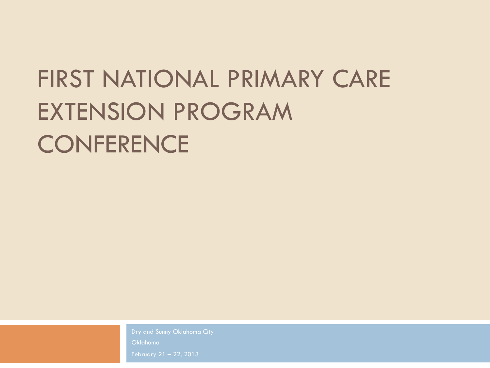## FIRST NATIONAL PRIMARY CARE EXTENSION PROGRAM **CONFERENCE**

Oklahoma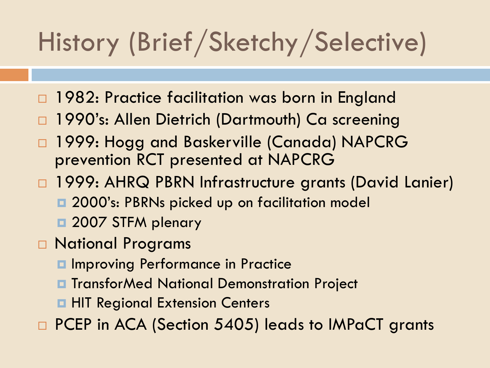# History (Brief/Sketchy/Selective)

- 1982: Practice facilitation was born in England
- 1990's: Allen Dietrich (Dartmouth) Ca screening
- 1999: Hogg and Baskerville (Canada) NAPCRG prevention RCT presented at NAPCRG
- □ 1999: AHRQ PBRN Infrastructure grants (David Lanier) **□ 2000's: PBRNs picked up on facilitation model** 
	- $\Box$  **2007 STFM plenary**
- □ National Programs
	- **□ Improving Performance in Practice**
	- **□** TransforMed National Demonstration Project
	- **¤ HIT Regional Extension Centers**
- □ PCEP in ACA (Section 5405) leads to IMPaCT grants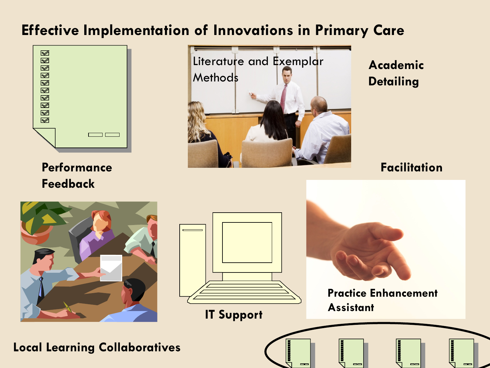#### **Effective Implementation of Innovations in Primary Care**



**Performance Feedback** 



**Academic Detailing** 

**Facilitation** 



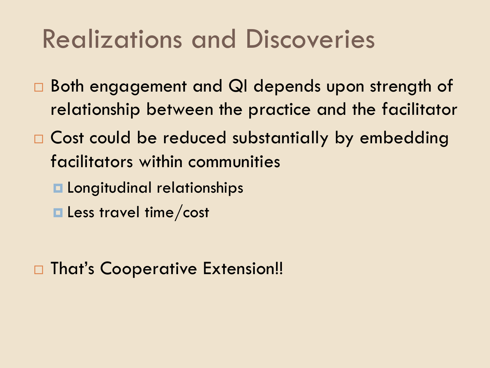## Realizations and Discoveries

- □ Both engagement and QI depends upon strength of relationship between the practice and the facilitator
- $\Box$  Cost could be reduced substantially by embedding facilitators within communities
	- $\blacksquare$  Longitudinal relationships
	- **E** Less travel time/cost

□ That's Cooperative Extension!!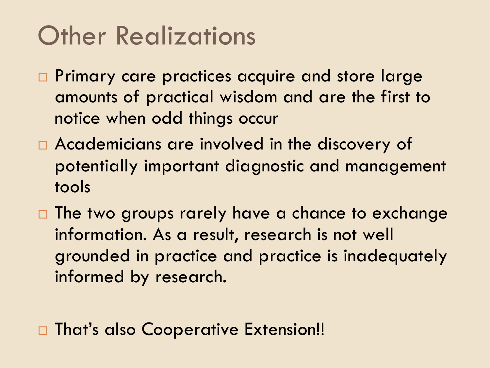## **Other Realizations**

- □ Primary care practices acquire and store large amounts of practical wisdom and are the first to notice when odd things occur
- $\Box$  Academicians are involved in the discovery of potentially important diagnostic and management tools
- $\square$  The two groups rarely have a chance to exchange information. As a result, research is not well grounded in practice and practice is inadequately informed by research.

□ That's also Cooperative Extension!!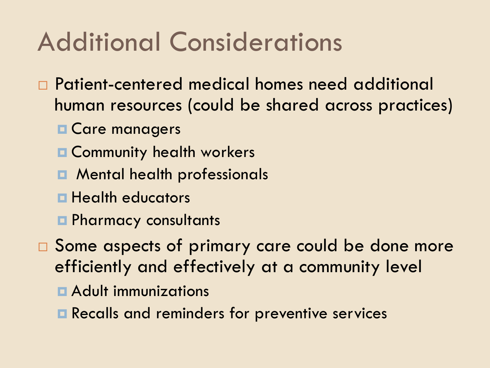## Additional Considerations

- □ Patient-centered medical homes need additional human resources (could be shared across practices)
	- $\blacksquare$  **Care managers**
	- **E** Community health workers
	- **□** Mental health professionals
	- $\blacksquare$  **Health educators**
	- **□** Pharmacy consultants
- $\square$  Some aspects of primary care could be done more efficiently and effectively at a community level
	- **E** Adult immunizations
	- **E** Recalls and reminders for preventive services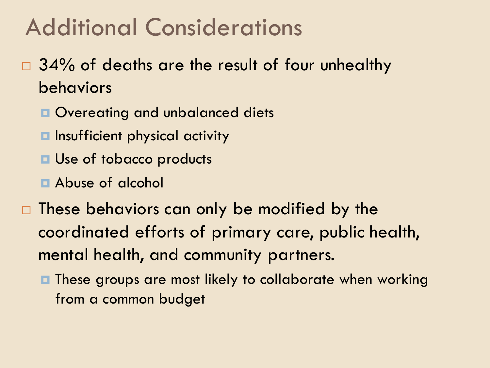### Additional Considerations

- $\Box$  34% of deaths are the result of four unhealthy behaviors
	- $\Box$  Overeating and unbalanced diets
	- **□** Insufficient physical activity
	- **<u><b>u**</u> Use of tobacco products
	- **E** Abuse of alcohol
- $\Box$  These behaviors can only be modified by the coordinated efforts of primary care, public health, mental health, and community partners.
	- These groups are most likely to collaborate when working from a common budget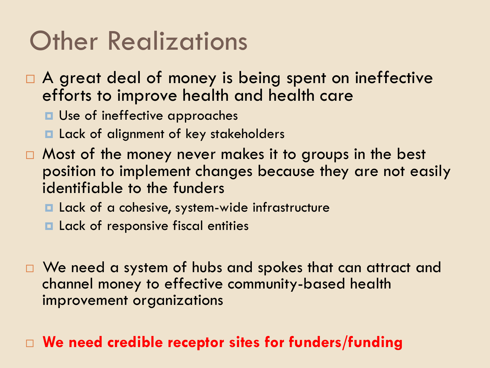## Other Realizations

- $\Box$  A great deal of money is being spent on ineffective efforts to improve health and health care
	- **E** Use of ineffective approaches
	- **□** Lack of alignment of key stakeholders
- $\Box$  Most of the money never makes it to groups in the best position to implement changes because they are not easily identifiable to the funders
	- **□** Lack of a cohesive, system-wide infrastructure
	- **E** Lack of responsive fiscal entities
- □ We need a system of hubs and spokes that can attract and channel money to effective community-based health improvement organizations

#### □ We need credible receptor sites for funders/funding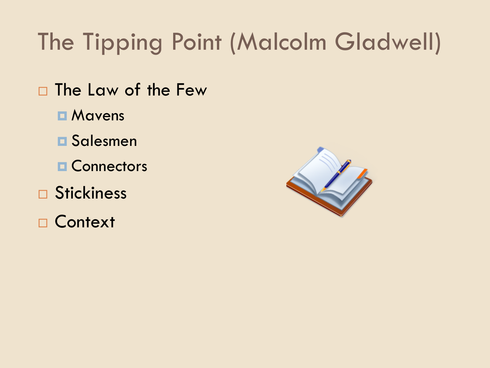## The Tipping Point (Malcolm Gladwell)

- □ The Law of the Few
	- **□ Mavens**
	- ¤ Salesmen
	- **□ Connectors**
- □ Stickiness
- □ Context